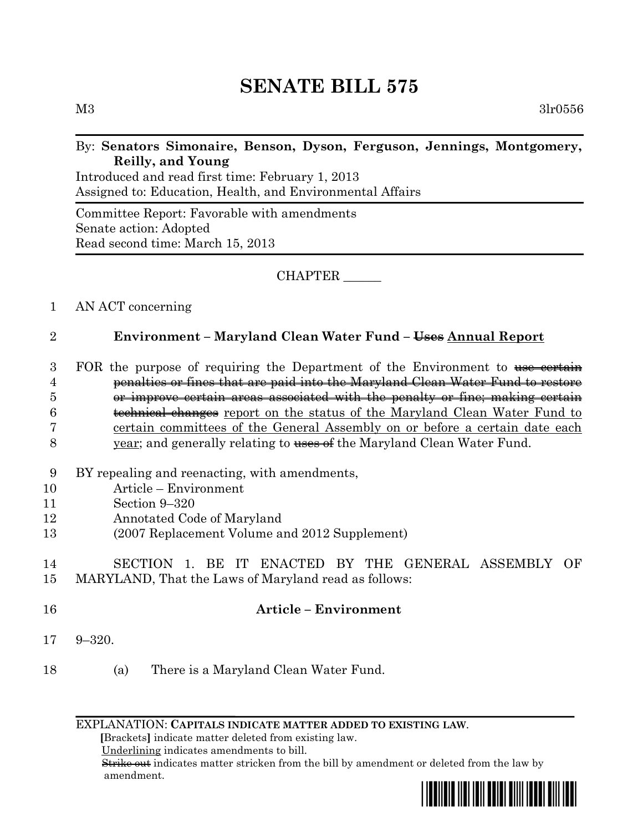# **SENATE BILL 575**

#### By: **Senators Simonaire, Benson, Dyson, Ferguson, Jennings, Montgomery, Reilly, and Young**

Introduced and read first time: February 1, 2013 Assigned to: Education, Health, and Environmental Affairs

Committee Report: Favorable with amendments Senate action: Adopted Read second time: March 15, 2013

## CHAPTER \_\_\_\_\_\_

## 1 AN ACT concerning

## 2 **Environment – Maryland Clean Water Fund – Uses Annual Report**

- 3 FOR the purpose of requiring the Department of the Environment to use certain 4 penalties or fines that are paid into the Maryland Clean Water Fund to restore 5 or improve certain areas associated with the penalty or fine; making certain 6 technical changes report on the status of the Maryland Clean Water Fund to 7 certain committees of the General Assembly on or before a certain date each 8 year; and generally relating to uses of the Maryland Clean Water Fund.
- 9 BY repealing and reenacting, with amendments,
- 10 Article Environment
- 11 Section 9–320
- 12 Annotated Code of Maryland
- 13 (2007 Replacement Volume and 2012 Supplement)
- 14 SECTION 1. BE IT ENACTED BY THE GENERAL ASSEMBLY OF 15 MARYLAND, That the Laws of Maryland read as follows:
- 16 **Article – Environment**
- 17 9–320.
- 18 (a) There is a Maryland Clean Water Fund.

EXPLANATION: **CAPITALS INDICATE MATTER ADDED TO EXISTING LAW**.

 **[**Brackets**]** indicate matter deleted from existing law.

Underlining indicates amendments to bill.

 Strike out indicates matter stricken from the bill by amendment or deleted from the law by amendment.

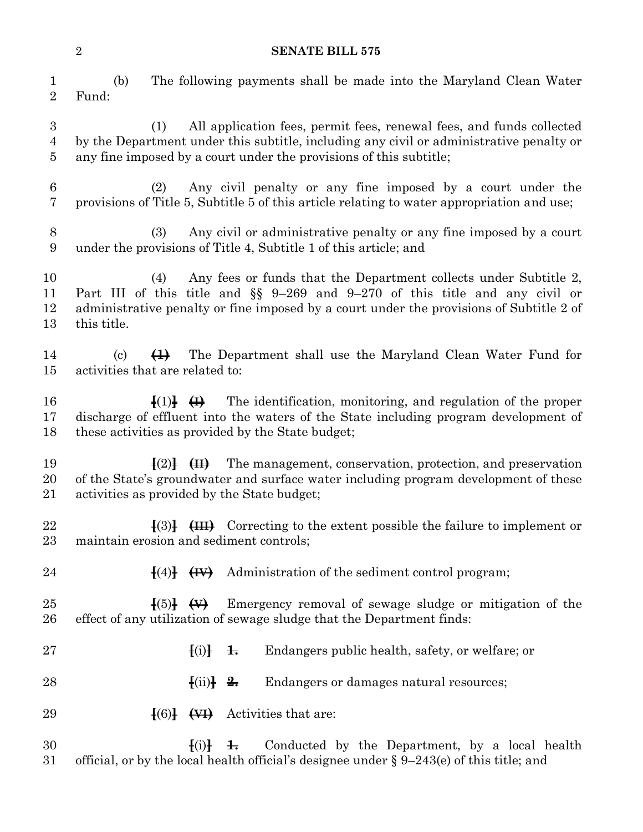#### **SENATE BILL 575**

| 2           | The following payments shall be made into the Maryland Clean Water<br>(b)<br>Fund:                                                                                                                                                           |
|-------------|----------------------------------------------------------------------------------------------------------------------------------------------------------------------------------------------------------------------------------------------|
| 3<br>4<br>5 | All application fees, permit fees, renewal fees, and funds collected<br>(1)<br>by the Department under this subtitle, including any civil or administrative penalty or<br>any fine imposed by a court under the provisions of this subtitle; |
| 6           | Any civil penalty or any fine imposed by a court under the<br>(2)<br>provisions of Title 5, Subtitle 5 of this article relating to water appropriation and use;                                                                              |
| 8<br>9      | Any civil or administrative penalty or any fine imposed by a court<br>(3)<br>under the provisions of Title 4, Subtitle 1 of this article; and                                                                                                |
| 10<br>11    | Any fees or funds that the Department collects under Subtitle 2,<br>(4)<br>Part III of this title and $\S$ 9-269 and 9-270 of this title and any civil or                                                                                    |

 administrative penalty or fine imposed by a court under the provisions of Subtitle 2 of this title.

 (c) **(1)** The Department shall use the Maryland Clean Water Fund for activities that are related to:

 **[**(1)**] (I)** The identification, monitoring, and regulation of the proper discharge of effluent into the waters of the State including program development of these activities as provided by the State budget;

 **[**(2)**] (II)** The management, conservation, protection, and preservation of the State's groundwater and surface water including program development of these activities as provided by the State budget;

 **[**(3)**] (III)** Correcting to the extent possible the failure to implement or maintain erosion and sediment controls;

24  $\{4\}$   $\{4\}$   $\{4\}$  Administration of the sediment control program;

 **[**(5)**] (V)** Emergency removal of sewage sludge or mitigation of the effect of any utilization of sewage sludge that the Department finds:

27  $\text{[i]}$  $\text{[j]}$   $\text{[j]}$  Endangers public health, safety, or welfare; or **[(iii) 2.** Endangers or damages natural resources; **[**(6)**] (VI)** Activities that are:

 **[**(i)**] 1.** Conducted by the Department, by a local health official, or by the local health official's designee under § 9–243(e) of this title; and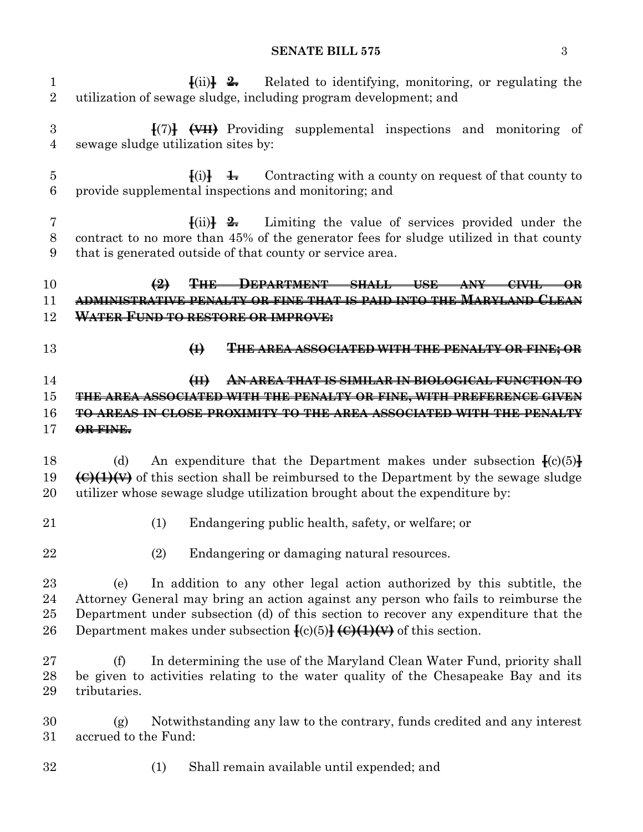#### **SENATE BILL 575** 3

| $\mathbf 1$<br>$\overline{2}$ | $\frac{f(i)}{f(i)}$ $\frac{2}{f(i)}$ Related to identifying, monitoring, or regulating the<br>utilization of sewage sludge, including program development; and                                                                                                                                                                           |
|-------------------------------|------------------------------------------------------------------------------------------------------------------------------------------------------------------------------------------------------------------------------------------------------------------------------------------------------------------------------------------|
| 3<br>4                        | $\frac{[7]}{[7]}$ $\leftarrow$ Providing supplemental inspections and monitoring of<br>sewage sludge utilization sites by:                                                                                                                                                                                                               |
| 5<br>6                        | Contracting with a county on request of that county to<br>$\frac{1}{2}$ (i) $\frac{1}{2}$ +<br>provide supplemental inspections and monitoring; and                                                                                                                                                                                      |
| 7<br>$8\,$<br>9               | $\{(ii)\}\$ $\cong$ Limiting the value of services provided under the<br>contract to no more than 45% of the generator fees for sludge utilized in that county<br>that is generated outside of that county or service area.                                                                                                              |
| 10                            | <b>DEPARTMENT</b><br><b>HSE</b><br><del>- SHALL</del>                                                                                                                                                                                                                                                                                    |
| 11                            | <del>ADMINISTRATIVE PENALTY OR FINE THAT IS PAID INTO THE MARYLAND CLEAN</del>                                                                                                                                                                                                                                                           |
| 12                            | WATER FUND TO RESTORE OR IMPROVE:                                                                                                                                                                                                                                                                                                        |
| 13                            | $\bigoplus$<br>THE AREA ASSOCIATED WITH THE PENALTY OR FINE; OR                                                                                                                                                                                                                                                                          |
| 14                            | #<br>AN AREA THAT IS SIMILAR IN BIOLOGICAL FUNCTION TO                                                                                                                                                                                                                                                                                   |
| 15                            | THE AREA ASSOCIATED WITH THE PENALTY OR FINE, WITH PREFERENCE GIVEN                                                                                                                                                                                                                                                                      |
| 16                            | <b>TO AREAS IN CLOSE PROXIMITY TO THE AREA ASSOCIATED WITH THE PENALTY</b>                                                                                                                                                                                                                                                               |
| 17                            | OR FINE.                                                                                                                                                                                                                                                                                                                                 |
|                               |                                                                                                                                                                                                                                                                                                                                          |
| 18                            | An expenditure that the Department makes under subsection $\mathcal{F}(c)(5)$<br>(d)                                                                                                                                                                                                                                                     |
| 19<br>20                      | $\left(\frac{c}{1+(1)}\right)$ of this section shall be reimbursed to the Department by the sewage sludge<br>utilizer whose sewage sludge utilization brought about the expenditure by:                                                                                                                                                  |
| 21                            | (1)<br>Endangering public health, safety, or welfare; or                                                                                                                                                                                                                                                                                 |
| 22                            | Endangering or damaging natural resources.<br>(2)                                                                                                                                                                                                                                                                                        |
| 23<br>24<br>25<br>$26\,$      | In addition to any other legal action authorized by this subtitle, the<br>(e)<br>Attorney General may bring an action against any person who fails to reimburse the<br>Department under subsection (d) of this section to recover any expenditure that the<br>Department makes under subsection $\{(c)(5)\}\ (c)(1)(v)$ of this section. |
| $27\,$<br>28<br>29            | In determining the use of the Maryland Clean Water Fund, priority shall<br>(f)<br>be given to activities relating to the water quality of the Chesapeake Bay and its<br>tributaries.                                                                                                                                                     |
| 30<br>31                      | Notwithstanding any law to the contrary, funds credited and any interest<br>(g)<br>accrued to the Fund:                                                                                                                                                                                                                                  |
| 32                            | (1)<br>Shall remain available until expended; and                                                                                                                                                                                                                                                                                        |